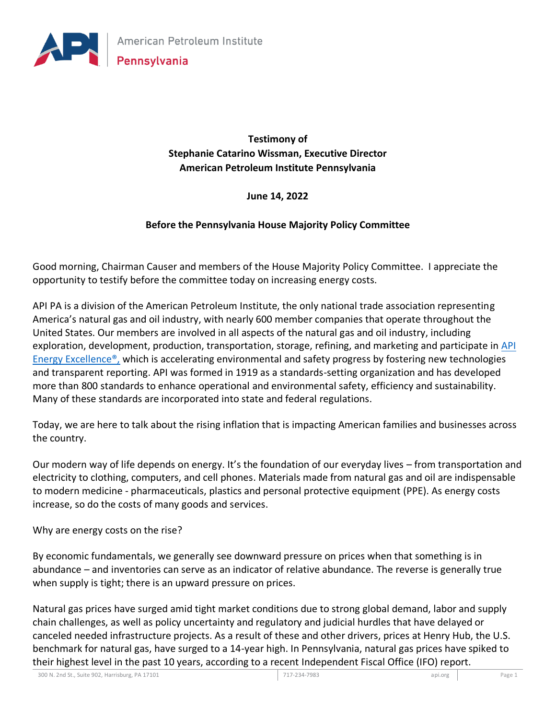

**Testimony of Stephanie Catarino Wissman, Executive Director American Petroleum Institute Pennsylvania**

### **June 14, 2022**

#### **Before the Pennsylvania House Majority Policy Committee**

Good morning, Chairman Causer and members of the House Majority Policy Committee. I appreciate the opportunity to testify before the committee today on increasing energy costs.

API PA is a division of the American Petroleum Institute, the only national trade association representing America's natural gas and oil industry, with nearly 600 member companies that operate throughout the United States. Our members are involved in all aspects of the natural gas and oil industry, including exploration, development, production, transportation, storage, refining, and marketing and participate in [API](https://www.api.org/oil-and-natural-gas/api-energy-excellence)  Energy Excellence<sup>®</sup>, which is accelerating environmental and safety progress by fostering new technologies and transparent reporting. API was formed in 1919 as a standards-setting organization and has developed more than 800 standards to enhance operational and environmental safety, efficiency and sustainability. Many of these standards are incorporated into state and federal regulations.

Today, we are here to talk about the rising inflation that is impacting American families and businesses across the country.

Our modern way of life depends on energy. It's the foundation of our everyday lives – from transportation and electricity to clothing, computers, and cell phones. Materials made from natural gas and oil are indispensable to modern medicine - pharmaceuticals, plastics and personal protective equipment (PPE). As energy costs increase, so do the costs of many goods and services.

Why are energy costs on the rise?

By economic fundamentals, we generally see downward pressure on prices when that something is in abundance – and inventories can serve as an indicator of relative abundance. The reverse is generally true when supply is tight; there is an upward pressure on prices.

Natural gas prices have surged amid tight market conditions due to strong global demand, labor and supply chain challenges, as well as policy uncertainty and regulatory and judicial hurdles that have delayed or canceled needed infrastructure projects. As a result of these and other drivers, prices at Henry Hub, the U.S. benchmark for natural gas, have surged to a 14-year high. In Pennsylvania, natural gas prices have spiked to their highest level in the past 10 years, according to a recent Independent Fiscal Office (IFO) report.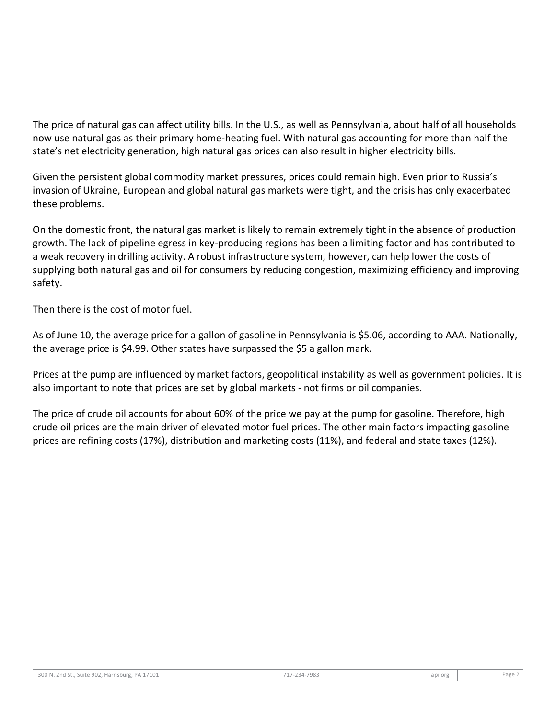The price of natural gas can affect utility bills. In the U.S., as well as Pennsylvania, about half of all households now use natural gas as their primary home-heating fuel. With natural gas accounting for more than half the state's net electricity generation, high natural gas prices can also result in higher electricity bills.

Given the persistent global commodity market pressures, prices could remain high. Even prior to Russia's invasion of Ukraine, European and global natural gas markets were tight, and the crisis has only exacerbated these problems.

On the domestic front, the natural gas market is likely to remain extremely tight in the absence of production growth. The lack of pipeline egress in key-producing regions has been a limiting factor and has contributed to a weak recovery in drilling activity. A robust infrastructure system, however, can help lower the costs of supplying both natural gas and oil for consumers by reducing congestion, maximizing efficiency and improving safety.

Then there is the cost of motor fuel.

As of June 10, the average price for a gallon of gasoline in Pennsylvania is \$5.06, according to AAA. Nationally, the average price is \$4.99. Other states have surpassed the \$5 a gallon mark.

Prices at the pump are influenced by market factors, geopolitical instability as well as government policies. It is also important to note that prices are set by global markets - not firms or oil companies.

The price of crude oil accounts for about 60% of the price we pay at the pump for gasoline. Therefore, high crude oil prices are the main driver of elevated motor fuel prices. The other main factors impacting gasoline prices are refining costs (17%), distribution and marketing costs (11%), and federal and state taxes (12%).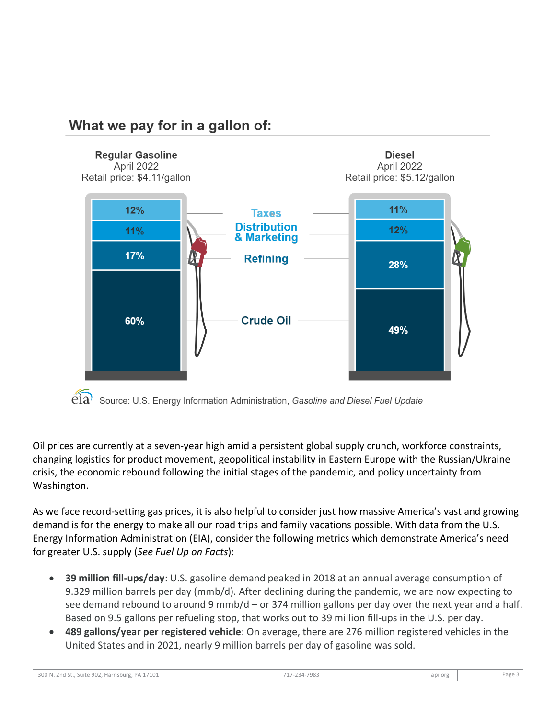

## What we pay for in a gallon of:

Oil prices are currently at a seven-year high amid a persistent global supply crunch, workforce constraints, changing logistics for product movement, geopolitical instability in Eastern Europe with the Russian/Ukraine crisis, the economic rebound following the initial stages of the pandemic, and policy uncertainty from Washington.

As we face record-setting gas prices, it is also helpful to consider just how massive America's vast and growing demand is for the energy to make all our road trips and family vacations possible. With data from the U.S. Energy Information Administration (EIA), consider the following metrics which demonstrate America's need for greater U.S. supply (*See Fuel Up on Facts*):

- **39 million fill-ups/day**: U.S. gasoline demand peaked in 2018 at an annual average consumption of 9.329 million barrels per day (mmb/d). After declining during the pandemic, we are now expecting to see demand rebound to around 9 mmb/d – or 374 million gallons per day over the next year and a half. Based on 9.5 gallons per refueling stop, that works out to 39 million fill-ups in the U.S. per day.
- **489 gallons/year per registered vehicle**: On average, there are 276 million registered vehicles in the United States and in 2021, nearly 9 million barrels per day of gasoline was sold.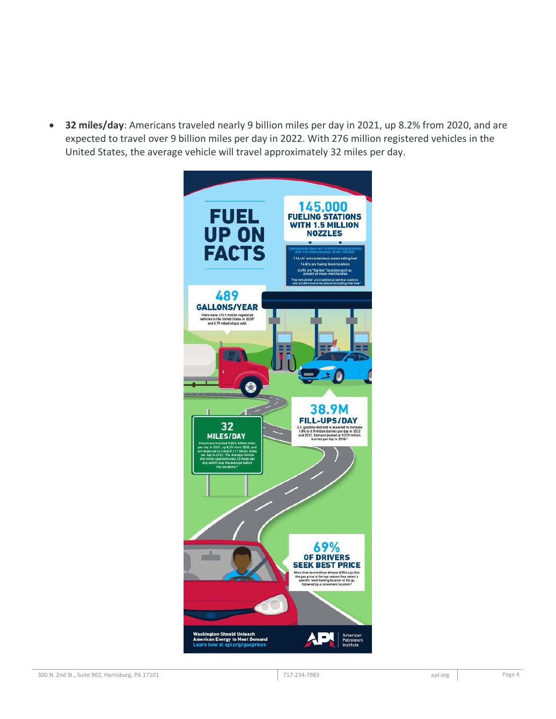• **32 miles/day**: Americans traveled nearly 9 billion miles per day in 2021, up 8.2% from 2020, and are expected to travel over 9 billion miles per day in 2022. With 276 million registered vehicles in the United States, the average vehicle will travel approximately 32 miles per day.

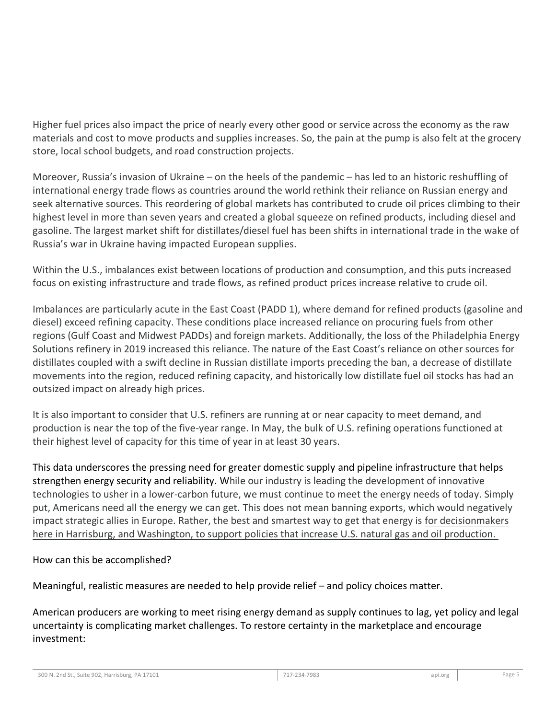Higher fuel prices also impact the price of nearly every other good or service across the economy as the raw materials and cost to move products and supplies increases. So, the pain at the pump is also felt at the grocery store, local school budgets, and road construction projects.

Moreover, Russia's invasion of Ukraine – on the heels of the pandemic – has led to an historic reshuffling of international energy trade flows as countries around the world rethink their reliance on Russian energy and seek alternative sources. This reordering of global markets has contributed to crude oil prices climbing to their highest level in more than seven years and created a global squeeze on refined products, including diesel and gasoline. The largest market shift for distillates/diesel fuel has been shifts in international trade in the wake of Russia's war in Ukraine having impacted European supplies.

Within the U.S., imbalances exist between locations of production and consumption, and this puts increased focus on existing infrastructure and trade flows, as refined product prices increase relative to crude oil.

Imbalances are particularly acute in the East Coast (PADD 1), where demand for refined products (gasoline and diesel) exceed refining capacity. These conditions place increased reliance on procuring fuels from other regions (Gulf Coast and Midwest PADDs) and foreign markets. Additionally, the loss of the Philadelphia Energy Solutions refinery in 2019 increased this reliance. The nature of the East Coast's reliance on other sources for distillates coupled with a swift decline in Russian distillate imports preceding the ban, a decrease of distillate movements into the region, reduced refining capacity, and historically low distillate fuel oil stocks has had an outsized impact on already high prices.

It is also important to consider that U.S. refiners are running at or near capacity to meet demand, and production is near the top of the five-year range. In May, the bulk of U.S. refining operations functioned at their highest level of capacity for this time of year in at least 30 years.

This data underscores the pressing need for greater domestic supply and pipeline infrastructure that helps strengthen energy security and reliability. While our industry is leading the development of innovative technologies to usher in a lower-carbon future, we must continue to meet the energy needs of today. Simply put, Americans need all the energy we can get. This does not mean banning exports, which would negatively impact strategic allies in Europe. Rather, the best and smartest way to get that energy is for decisionmakers here in Harrisburg, and Washington, to support policies that increase U.S. natural gas and oil production.

## How can this be accomplished?

Meaningful, realistic measures are needed to help provide relief – and policy choices matter.

American producers are working to meet rising energy demand as supply continues to lag, yet policy and legal uncertainty is complicating market challenges. To restore certainty in the marketplace and encourage investment: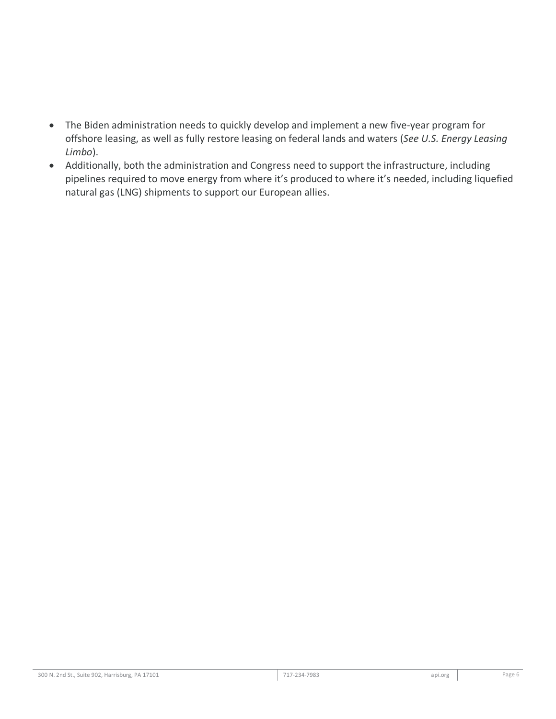- The Biden administration needs to quickly develop and implement a new five-year program for offshore leasing, as well as fully restore leasing on federal lands and waters (*See U.S. Energy Leasing Limbo*).
- Additionally, both the administration and Congress need to support the infrastructure, including pipelines required to move energy from where it's produced to where it's needed, including liquefied natural gas (LNG) shipments to support our European allies.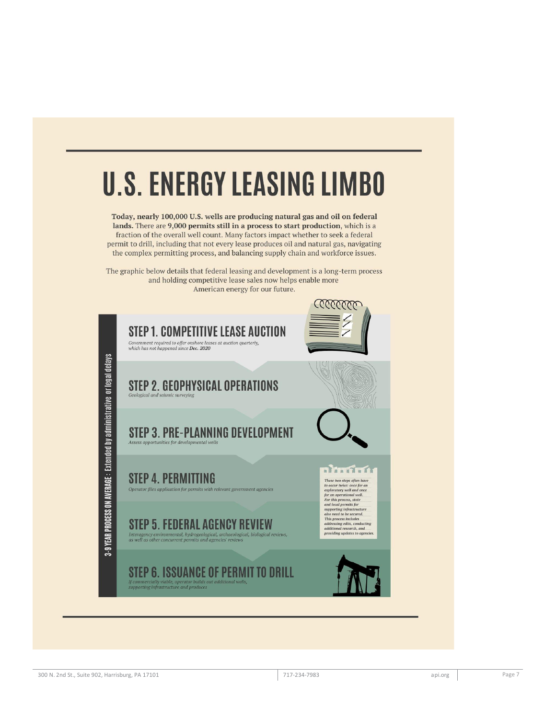# **U.S. ENERGY LEASING LIMBO**

Today, nearly 100,000 U.S. wells are producing natural gas and oil on federal lands. There are 9,000 permits still in a process to start production, which is a fraction of the overall well count. Many factors impact whether to seek a federal permit to drill, including that not every lease produces oil and natural gas, navigating the complex permitting process, and balancing supply chain and workforce issues.

The graphic below details that federal leasing and development is a long-term process and holding competitive lease sales now helps enable more American energy for our future.